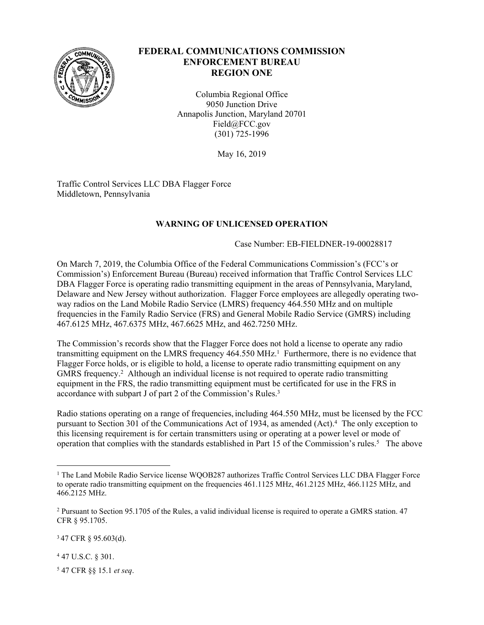

## **FEDERAL COMMUNICATIONS COMMISSION ENFORCEMENT BUREAU REGION ONE**

Columbia Regional Office 9050 Junction Drive Annapolis Junction, Maryland 20701 Field@FCC.gov (301) 725-1996

May 16, 2019

Traffic Control Services LLC DBA Flagger Force Middletown, Pennsylvania

## **WARNING OF UNLICENSED OPERATION**

## Case Number: EB-FIELDNER-19-00028817

On March 7, 2019, the Columbia Office of the Federal Communications Commission's (FCC's or Commission's) Enforcement Bureau (Bureau) received information that Traffic Control Services LLC DBA Flagger Force is operating radio transmitting equipment in the areas of Pennsylvania, Maryland, Delaware and New Jersey without authorization. Flagger Force employees are allegedly operating twoway radios on the Land Mobile Radio Service (LMRS) frequency 464.550 MHz and on multiple frequencies in the Family Radio Service (FRS) and General Mobile Radio Service (GMRS) including 467.6125 MHz, 467.6375 MHz, 467.6625 MHz, and 462.7250 MHz.

The Commission's records show that the Flagger Force does not hold a license to operate any radio transmitting equipment on the LMRS frequency 464.550 MHz.<sup>1</sup> Furthermore, there is no evidence that Flagger Force holds, or is eligible to hold, a license to operate radio transmitting equipment on any GMRS frequency.<sup>2</sup> Although an individual license is not required to operate radio transmitting equipment in the FRS, the radio transmitting equipment must be certificated for use in the FRS in accordance with subpart J of part 2 of the Commission's Rules.<sup>3</sup>

Radio stations operating on a range of frequencies, including 464.550 MHz, must be licensed by the FCC pursuant to Section 301 of the Communications Act of 1934, as amended (Act).<sup>4</sup> The only exception to this licensing requirement is for certain transmitters using or operating at a power level or mode of operation that complies with the standards established in Part 15 of the Commission's rules.<sup>5</sup> The above

<sup>3</sup>47 CFR § 95.603(d).

4 47 U.S.C. § 301.

5 47 CFR §§ 15.1 *et seq*.

<sup>&</sup>lt;sup>1</sup> The Land Mobile Radio Service license WQOB287 authorizes Traffic Control Services LLC DBA Flagger Force to operate radio transmitting equipment on the frequencies 461.1125 MHz, 461.2125 MHz, 466.1125 MHz, and 466.2125 MHz.

<sup>2</sup> Pursuant to Section 95.1705 of the Rules, a valid individual license is required to operate a GMRS station. 47 CFR § 95.1705.